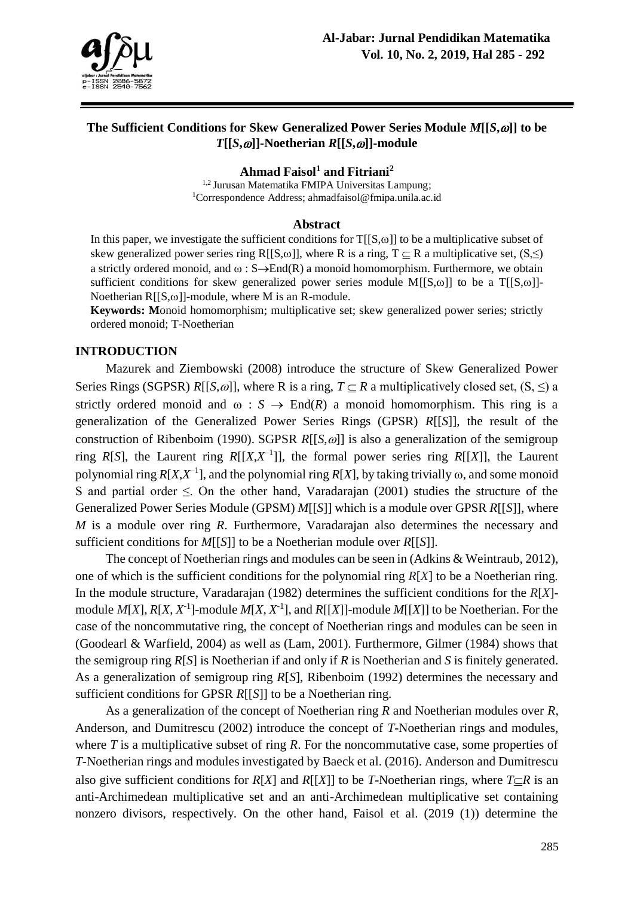

# **The Sufficient Conditions for Skew Generalized Power Series Module** *M***[[***S***,]] to be**  *T***[[***S***,]]-Noetherian** *R***[[***S***,]]-module**

**Ahmad Faisol<sup>1</sup> and Fitriani<sup>2</sup>**

<sup>1,2</sup> Jurusan Matematika FMIPA Universitas Lampung: <sup>1</sup>Correspondence Address; [ahmadfaisol@fmipa.unila.ac.id](mailto:ahmadfaisol@fmipa.unila.ac.id)

#### **Abstract**

In this paper, we investigate the sufficient conditions for  $T[[S,\omega]]$  to be a multiplicative subset of skew generalized power series ring R[[S, $\omega$ ]], where R is a ring, T  $\subseteq$  R a multiplicative set, (S, $\leq$ ) a strictly ordered monoid, and  $\omega$ :  $S\rightarrow$ End(R) a monoid homomorphism. Furthermore, we obtain sufficient conditions for skew generalized power series module  $M[[S,\omega]]$  to be a  $T[[S,\omega]]$ -Noetherian  $R[[S,\omega]]$ -module, where M is an R-module.

**Keywords: M**onoid homomorphism; multiplicative set; skew generalized power series; strictly ordered monoid; T-Noetherian

#### **INTRODUCTION**

Mazurek and Ziembowski (2008) introduce the structure of Skew Generalized Power Series Rings (SGPSR)  $R[[S,\omega]]$ , where R is a ring,  $T \subseteq R$  a multiplicatively closed set,  $(S, \leq)$  a strictly ordered monoid and  $\omega : S \to \text{End}(R)$  a monoid homomorphism. This ring is a generalization of the Generalized Power Series Rings (GPSR) *R*[[*S*]], the result of the construction of Ribenboim (1990). SGPSR *R*[[*S*,  $\omega$ ]] is also a generalization of the semigroup ring  $R[S]$ , the Laurent ring  $R[[X,X^{-1}]]$ , the formal power series ring  $R[[X]]$ , the Laurent polynomial ring  $R[X, X^{-1}]$ , and the polynomial ring  $R[X]$ , by taking trivially  $\omega$ , and some monoid S and partial order  $\leq$ . On the other hand, Varadarajan (2001) studies the structure of the Generalized Power Series Module (GPSM) *M*[[*S*]] which is a module over GPSR *R*[[*S*]], where *M* is a module over ring *R*. Furthermore, Varadarajan also determines the necessary and sufficient conditions for *M*[[*S*]] to be a Noetherian module over *R*[[*S*]].

The concept of Noetherian rings and modules can be seen in (Adkins & Weintraub, 2012), one of which is the sufficient conditions for the polynomial ring *R*[*X*] to be a Noetherian ring. In the module structure, Varadarajan (1982) determines the sufficient conditions for the *R*[*X*] module  $M[X]$ ,  $R[X, X<sup>-1</sup>]$ -module  $M[X, X<sup>-1</sup>]$ , and  $R[[X]]$ -module  $M[[X]]$  to be Noetherian. For the case of the noncommutative ring, the concept of Noetherian rings and modules can be seen in (Goodearl & Warfield, 2004) as well as (Lam, 2001). Furthermore, Gilmer (1984) shows that the semigroup ring *R*[*S*] is Noetherian if and only if *R* is Noetherian and *S* is finitely generated. As a generalization of semigroup ring *R*[*S*], Ribenboim (1992) determines the necessary and sufficient conditions for GPSR *R*[[*S*]] to be a Noetherian ring.

As a generalization of the concept of Noetherian ring *R* and Noetherian modules over *R*, Anderson, and Dumitrescu (2002) introduce the concept of *T*-Noetherian rings and modules, where *T* is a multiplicative subset of ring *R*. For the noncommutative case, some properties of *T*-Noetherian rings and modules investigated by Baeck et al. (2016). Anderson and Dumitrescu also give sufficient conditions for *R[X]* and *R[[X]]* to be *T*-Noetherian rings, where  $T \subset R$  is an anti-Archimedean multiplicative set and an anti-Archimedean multiplicative set containing nonzero divisors, respectively. On the other hand, Faisol et al. (2019 (1)) determine the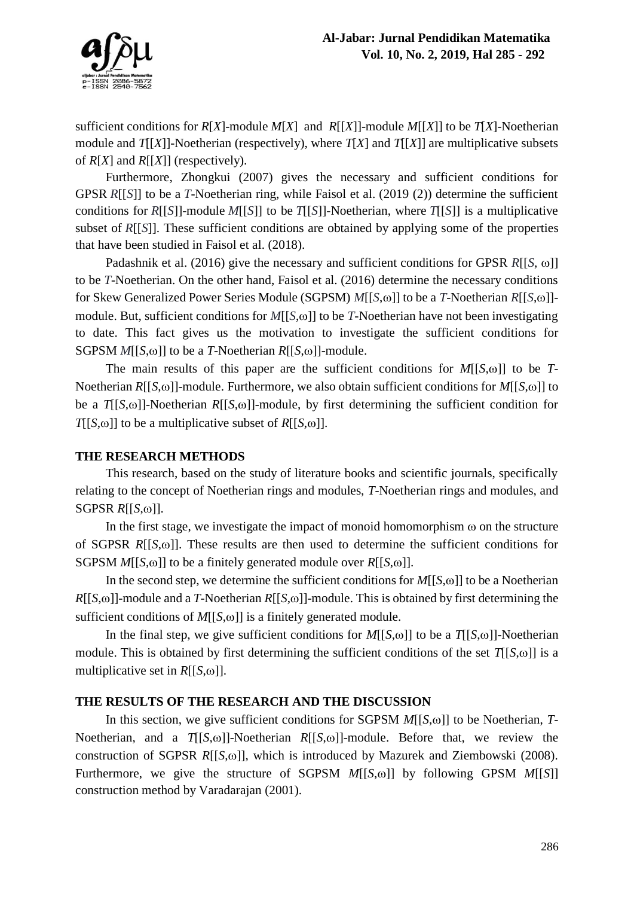

sufficient conditions for *R*[*X*]-module *M*[*X*] and *R*[[*X*]]-module *M*[[*X*]] to be *T*[*X*]-Noetherian module and  $T[X]$ ]-Noetherian (respectively), where  $T[X]$  and  $T[[X]]$  are multiplicative subsets of *R*[*X*] and *R*[[*X*]] (respectively).

Furthermore, Zhongkui (2007) gives the necessary and sufficient conditions for GPSR *R*[[*S*]] to be a *T*-Noetherian ring, while Faisol et al. (2019 (2)) determine the sufficient conditions for *R*[[*S*]]-module *M*[[*S*]] to be *T*[[*S*]]-Noetherian, where *T*[[*S*]] is a multiplicative subset of *R*[[*S*]]. These sufficient conditions are obtained by applying some of the properties that have been studied in Faisol et al. (2018).

Padashnik et al. (2016) give the necessary and sufficient conditions for GPSR  $R[[S, \omega]]$ to be *T*-Noetherian. On the other hand, Faisol et al. (2016) determine the necessary conditions for Skew Generalized Power Series Module (SGPSM)  $M[[S,\omega]]$  to be a *T*-Noetherian *R*[[*S*, $\omega$ ]]module. But, sufficient conditions for  $M[[S,\omega]]$  to be *T*-Noetherian have not been investigating to date. This fact gives us the motivation to investigate the sufficient conditions for SGPSM  $M[[S,\omega]]$  to be a *T*-Noetherian  $R[[S,\omega]]$ -module.

The main results of this paper are the sufficient conditions for  $M[[S,\omega]]$  to be *T*-Noetherian  $R[[S,\omega]]$ -module. Furthermore, we also obtain sufficient conditions for  $M[[S,\omega]]$  to be a  $T[[S,\omega]]$ -Noetherian  $R[[S,\omega]]$ -module, by first determining the sufficient condition for  $T[[S,\omega]]$  to be a multiplicative subset of  $R[[S,\omega]]$ .

## **THE RESEARCH METHODS**

This research, based on the study of literature books and scientific journals, specifically relating to the concept of Noetherian rings and modules, *T*-Noetherian rings and modules, and  $SGPSR R[[S,\omega]].$ 

In the first stage, we investigate the impact of monoid homomorphism  $\omega$  on the structure of SGPSR  $R[[S,\omega]]$ . These results are then used to determine the sufficient conditions for SGPSM  $M[[S,\omega]]$  to be a finitely generated module over  $R[[S,\omega]]$ .

In the second step, we determine the sufficient conditions for  $M[[S,\omega]]$  to be a Noetherian  $R[[S,\omega]]$ -module and a *T*-Noetherian  $R[[S,\omega]]$ -module. This is obtained by first determining the sufficient conditions of  $M[[S,\omega]]$  is a finitely generated module.

In the final step, we give sufficient conditions for  $M[[S,\omega]]$  to be a  $T[[S,\omega]]$ -Noetherian module. This is obtained by first determining the sufficient conditions of the set  $T[[S,\omega]]$  is a multiplicative set in  $R[[S,\omega]]$ .

## **THE RESULTS OF THE RESEARCH AND THE DISCUSSION**

In this section, we give sufficient conditions for SGPSM  $M[[S,\omega]]$  to be Noetherian, *T*-Noetherian, and a  $T[[S,\omega]]$ -Noetherian  $R[[S,\omega]]$ -module. Before that, we review the construction of SGPSR *R*[[*S*, $\omega$ ]], which is introduced by Mazurek and Ziembowski (2008). Furthermore, we give the structure of SGPSM  $M[[S,\omega]]$  by following GPSM  $M[[S]]$ construction method by Varadarajan (2001).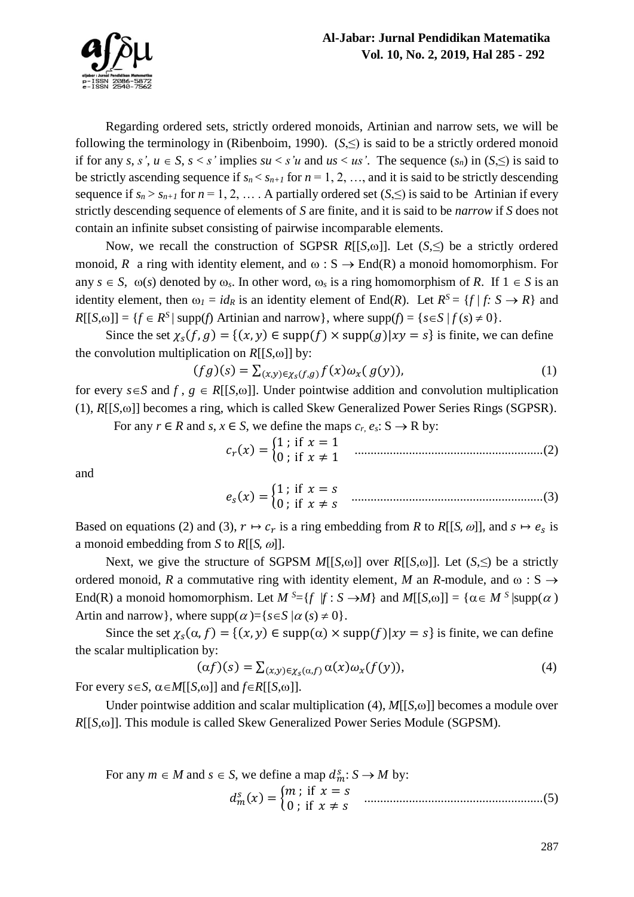

Regarding ordered sets, strictly ordered monoids, Artinian and narrow sets, we will be following the terminology in (Ribenboim, 1990).  $(S,\leq)$  is said to be a strictly ordered monoid if for any *s*, *s'*,  $u \in S$ ,  $s < s'$  implies  $su < s'u$  and  $us < us'$ . The sequence  $(s_n)$  in  $(S \leq s')$  is said to be strictly ascending sequence if  $s_n < s_{n+1}$  for  $n = 1, 2, \ldots$ , and it is said to be strictly descending sequence if  $s_n > s_{n+1}$  for  $n = 1, 2, \ldots$ . A partially ordered set  $(S, \leq)$  is said to be Artinian if every strictly descending sequence of elements of *S* are finite, and it is said to be *narrow* if *S* does not contain an infinite subset consisting of pairwise incomparable elements.

Now, we recall the construction of SGPSR  $R[[S,\omega]]$ . Let  $(S,\leq)$  be a strictly ordered monoid, *R* a ring with identity element, and  $\omega$ : S  $\rightarrow$  End(R) a monoid homomorphism. For any  $s \in S$ ,  $\omega(s)$  denoted by  $\omega_s$ . In other word,  $\omega_s$  is a ring homomorphism of *R*. If  $1 \in S$  is an identity element, then  $\omega_l = id_R$  is an identity element of End(*R*). Let  $R^S = \{f \mid f: S \to R\}$  and  $R[[S, \omega]] = \{f \in R^S | \text{supp}(f) \text{ Artinian and narrow}\}, \text{ where } \text{supp}(f) = \{s \in S | f(s) \neq 0\}.$ 

Since the set  $\chi_s(f, g) = \{(x, y) \in \text{supp}(f) \times \text{supp}(g) | xy = s\}$  is finite, we can define the convolution multiplication on  $R[[S,\omega]]$  by:

$$
(fg)(s) = \sum_{(x,y)\in\chi_s(f,g)} f(x)\omega_x(g(y)),\tag{1}
$$

for every  $s \in S$  and  $f, g \in R[[S, \omega]]$ . Under pointwise addition and convolution multiplication  $(1)$ ,  $R[[S,\omega]]$  becomes a ring, which is called Skew Generalized Power Series Rings (SGPSR). For any  $r \in R$  and  $s, x \in S$ , we define the maps  $c_r$ ,  $e_s$ :  $S \to R$  by:

$$
c_r(x) = \begin{cases} 1; & \text{if } x = 1 \\ 0; & \text{if } x \neq 1 \end{cases}
$$
 (2)

and

$$
e_s(x) = \begin{cases} 1 \; ; \; \text{if} \; x = s \\ 0 \; ; \; \text{if} \; x \neq s \end{cases} \quad \text{........}
$$
 (3)

Based on equations (2) and (3),  $r \mapsto c_r$  is a ring embedding from *R* to *R*[[*S*,  $\omega$ ]], and  $s \mapsto e_s$  is a monoid embedding from *S* to  $R[[S, \omega]]$ .

Next, we give the structure of SGPSM  $M[[S,\omega]]$  over  $R[[S,\omega]]$ . Let  $(S,\leq)$  be a strictly ordered monoid, *R* a commutative ring with identity element, *M* an *R*-module, and  $\omega$ : S  $\rightarrow$ End(R) a monoid homomorphism. Let  $M^{S} = \{f | f : S \rightarrow M\}$  and  $M[[S, \omega]] = \{\alpha \in M^{S} | \text{supp}(\alpha)\}$ Artin and narrow }, where  $supp(\alpha) = \{s \in S | \alpha(s) \neq 0\}.$ 

Since the set  $\chi_s(\alpha, f) = \{(x, y) \in \text{supp}(\alpha) \times \text{supp}(f) | xy = s\}$  is finite, we can define the scalar multiplication by:

$$
(\alpha f)(s) = \sum_{(x,y)\in\chi_S(\alpha,f)} \alpha(x)\omega_x(f(y)),\tag{4}
$$

For every  $s \in S$ ,  $\alpha \in M[[S, \omega]]$  and  $f \in R[[S, \omega]].$ 

Under pointwise addition and scalar multiplication  $(4)$ ,  $M[[S,\omega]]$  becomes a module over *R*[[*S*, $\omega$ ]]. This module is called Skew Generalized Power Series Module (SGPSM).

For any 
$$
m \in M
$$
 and  $s \in S$ , we define a map  $d_m^s : S \to M$  by:  
\n
$$
d_m^s(x) = \begin{cases} m \\ 0 \\ i \end{cases} \text{ if } x = s
$$
\n
$$
\text{...}
$$
\n(5)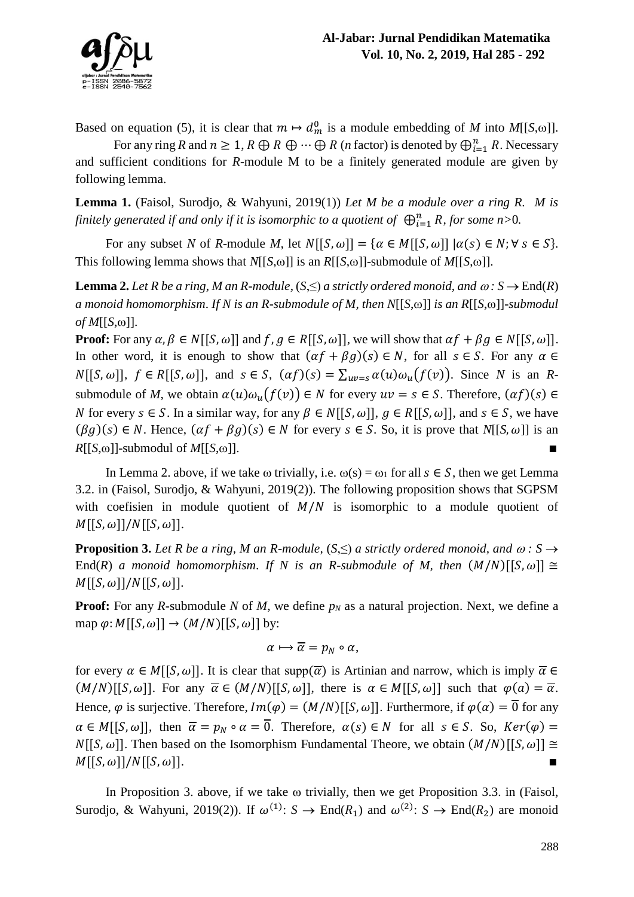

Based on equation (5), it is clear that  $m \mapsto d_m^0$  is a module embedding of *M* into *M*[[*S*, $\omega$ ]].

For any ring *R* and  $n \geq 1$ ,  $R \oplus R \oplus \cdots \oplus R$  (*n* factor) is denoted by  $\bigoplus_{i=1}^{n} R$ . Necessary and sufficient conditions for *R*-module M to be a finitely generated module are given by following lemma.

**Lemma 1.** (Faisol, Surodjo, & Wahyuni, 2019(1)) *Let M be a module over a ring R. M is*  finitely generated if and only if it is isomorphic to a quotient of  $\ \oplus_{i=1}^n R$ , for some n>0.

For any subset *N* of *R*-module *M*, let  $N[[S, \omega]] = {\alpha \in M[[S, \omega]] | \alpha(s) \in N; \forall s \in S}.$ This following lemma shows that *N*[[*S*, $\omega$ ]] is an *R*[[*S*, $\omega$ ]]-submodule of *M*[[*S*, $\omega$ ]].

**Lemma 2.** *Let R be a ring, M an R-module,*  $(S, \leq)$  *a strictly ordered monoid, and*  $\omega : S \rightarrow End(R)$ *a* monoid homomorphism. If N is an R-submodule of M, then  $N[[S,\omega]]$  is an  $R[[S,\omega]]$ -submodul  $of M[[S,\omega]]$ .

**Proof:** For any  $\alpha, \beta \in N[[S, \omega]]$  and  $f, g \in R[[S, \omega]]$ , we will show that  $\alpha f + \beta g \in N[[S, \omega]]$ . In other word, it is enough to show that  $(\alpha f + \beta g)(s) \in N$ , for all  $s \in S$ . For any  $\alpha \in$  $N[[S, \omega]], f \in R[[S, \omega]],$  and  $s \in S$ ,  $(\alpha f)(s) = \sum_{uv=s} \alpha(u)\omega_u(f(v))$ . Since *N* is an *R*submodule of *M*, we obtain  $\alpha(u)\omega_{\nu}(f(v)) \in N$  for every  $uv = s \in S$ . Therefore,  $(\alpha f)(s) \in$ *N* for every *s* ∈ *S*. In a similar way, for any  $\beta \in N[[S, \omega]], g \in R[[S, \omega]],$  and  $s \in S$ , we have  $(\beta g)(s) \in N$ . Hence,  $(\alpha f + \beta g)(s) \in N$  for every  $s \in S$ . So, it is prove that  $N[[S, \omega]]$  is an  $R[[S,\omega]]$ -submodul of *M*[[ $S$ , $\omega$ ]].

In Lemma 2. above, if we take  $\omega$  trivially, i.e.  $\omega(s) = \omega_1$  for all  $s \in S$ , then we get Lemma 3.2. in (Faisol, Surodjo, & Wahyuni, 2019(2)). The following proposition shows that SGPSM with coefisien in module quotient of  $M/N$  is isomorphic to a module quotient of  $M[[S, \omega]]/N[[S, \omega]].$ 

**Proposition 3.** Let R be a ring, M an R-module,  $(S, \leq)$  a strictly ordered monoid, and  $\omega : S \rightarrow$ End(*R*) *a monoid homomorphism. If N is an R-submodule of M, then*  $(M/N)[[S, \omega]] \cong$  $M[[S, \omega]]/N[[S, \omega]].$ 

**Proof:** For any *R*-submodule *N* of *M*, we define  $p<sub>N</sub>$  as a natural projection. Next, we define a map  $\varphi$ :  $M[[S, \omega]] \rightarrow (M/N)[[S, \omega]]$  by:

$$
\alpha \mapsto \overline{\alpha} = p_N \circ \alpha,
$$

for every  $\alpha \in M[[S, \omega]]$ . It is clear that supp $(\overline{\alpha})$  is Artinian and narrow, which is imply  $\overline{\alpha} \in$  $(M/N)[[S, \omega]]$ . For any  $\overline{\alpha} \in (M/N)[[S, \omega]]$ , there is  $\alpha \in M[[S, \omega]]$  such that  $\varphi(\alpha) = \overline{\alpha}$ . Hence,  $\varphi$  is surjective. Therefore,  $Im(\varphi) = (M/N)[[S, \omega]]$ . Furthermore, if  $\varphi(\alpha) = 0$  for any  $\alpha \in M[[S, \omega]],$  then  $\overline{\alpha} = p_N \circ \alpha = \overline{0}$ . Therefore,  $\alpha(s) \in N$  for all  $s \in S$ . So,  $Ker(\varphi) =$  $N[[S, \omega]]$ . Then based on the Isomorphism Fundamental Theore, we obtain  $(M/N)[[S, \omega]] \cong$  $M[[S, \omega]]/N[[S, \omega]].$ 

In Proposition 3. above, if we take  $\omega$  trivially, then we get Proposition 3.3. in (Faisol, Surodjo, & Wahyuni, 2019(2)). If  $\omega^{(1)}$ :  $S \to \text{End}(R_1)$  and  $\omega^{(2)}$ :  $S \to \text{End}(R_2)$  are monoid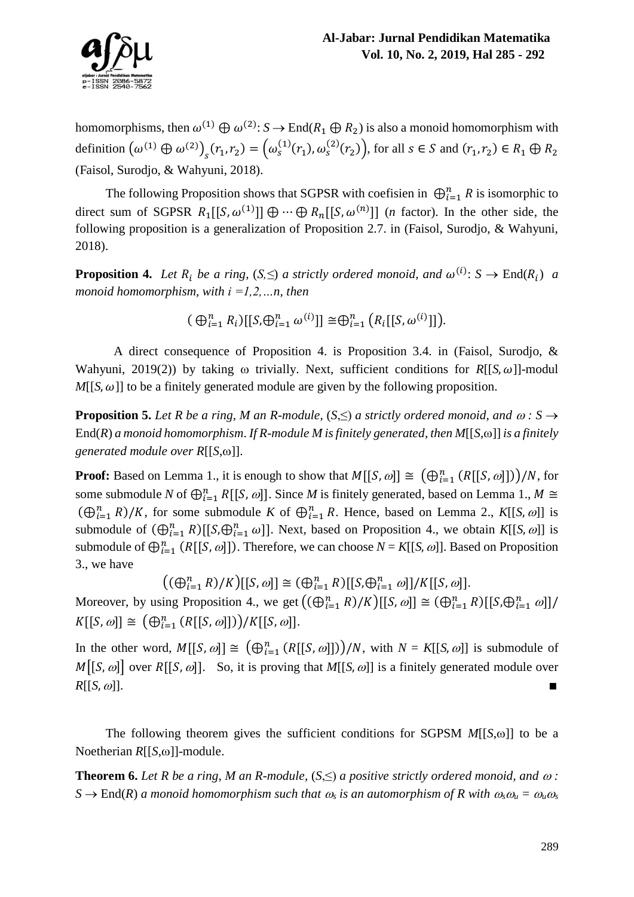

homomorphisms, then  $\omega^{(1)} \oplus \omega^{(2)}$ :  $S \to \text{End}(R_1 \oplus R_2)$  is also a monoid homomorphism with definition  $(\omega^{(1)} \oplus \omega^{(2)})_s (r_1, r_2) = (\omega_s^{(1)}(r_1), \omega_s^{(2)}(r_2))$ , for all  $s \in S$  and  $(r_1, r_2) \in R_1 \oplus R_2$ (Faisol, Surodjo, & Wahyuni, 2018).

The following Proposition shows that SGPSR with coefisien in  $\bigoplus_{i=1}^{n} R$  is isomorphic to direct sum of SGPSR  $R_1[[S, \omega^{(1)}]] \oplus \cdots \oplus R_n[[S, \omega^{(n)}]]$  (*n* factor). In the other side, the following proposition is a generalization of Proposition 2.7. in (Faisol, Surodjo, & Wahyuni, 2018).

**Proposition 4.** Let  $R_i$  be a ring,  $(S, \leq)$  a strictly ordered monoid, and  $\omega^{(i)}$ :  $S \to \text{End}(R_i)$  a *monoid homomorphism, with i =1,2,…n, then*

 $(\bigoplus_{i=1}^{n} R_i) [[S, \bigoplus_{i=1}^{n} \omega^{(i)}]] \cong \bigoplus_{i=1}^{n} (R_i [[S, \omega^{(i)}]]).$ 

A direct consequence of Proposition 4. is Proposition 3.4. in (Faisol, Surodjo, & Wahyuni, 2019(2)) by taking  $\omega$  trivially. Next, sufficient conditions for *R*[[*S*,  $\omega$ ]]-modul  $M[[S, \omega]]$  to be a finitely generated module are given by the following proposition.

**Proposition 5.** Let R be a ring, M an R-module,  $(S, \leq)$  a strictly ordered monoid, and  $\omega : S \rightarrow$ End(*R*) *a* monoid homomorphism. If *R*-module *M* is finitely generated, then  $M[[S,\omega]]$  is a finitely *generated module over*  $R[[S,\omega]]$ *.* 

**Proof:** Based on Lemma 1., it is enough to show that  $M[[S, \omega]] \cong (\bigoplus_{i=1}^{n} (R[[S, \omega]]))/N$ , for some submodule *N* of  $\bigoplus_{i=1}^{n} R[[S, \omega]]$ . Since *M* is finitely generated, based on Lemma 1.,  $M \cong$  $(\bigoplus_{i=1}^{n} R)/K$ , for some submodule *K* of  $\bigoplus_{i=1}^{n} R$ . Hence, based on Lemma 2., *K*[[*S*, *ω*]] is submodule of  $(\bigoplus_{i=1}^n R)[[S, \bigoplus_{i=1}^n \omega]]$ . Next, based on Proposition 4., we obtain *K*[[*S*,  $\omega$ ]] is submodule of  $\bigoplus_{i=1}^{n} (R[[S, \omega]])$ . Therefore, we can choose  $N = K[[S, \omega]]$ . Based on Proposition 3., we have

$$
((\bigoplus_{i=1}^{n} R)/K)[[S, \omega]] \cong (\bigoplus_{i=1}^{n} R)[[S, \bigoplus_{i=1}^{n} \omega]]/K[[S, \omega]].
$$

Moreover, by using Proposition 4., we get  $((\bigoplus_{i=1}^{n} R)/K)[[S,\omega]] \cong (\bigoplus_{i=1}^{n} R)[[S,\bigoplus_{i=1}^{n} \omega]]/K$  $K[[S, \omega]] \cong (\bigoplus_{i=1}^{n} (R[[S, \omega]])) / K[[S, \omega]].$ 

In the other word,  $M[[S, \omega]] \cong (\bigoplus_{i=1}^n (R[[S, \omega]]))/N$ , with  $N = K[[S, \omega]]$  is submodule of  $M[[S, \omega]]$  over  $R[[S, \omega]]$ . So, it is proving that  $M[[S, \omega]]$  is a finitely generated module over  $R[[S,\omega]]$ .

The following theorem gives the sufficient conditions for SGPSM  $M[[S,\omega]]$  to be a Noetherian  $R[[S,\omega]]$ -module.

**Theorem 6.** Let R be a ring, M an R-module,  $(S, \leq)$  a positive strictly ordered monoid, and  $\omega$ :  $S \rightarrow$  End(*R*) *a* monoid homomorphism such that  $\omega_s$  is an automorphism of R with  $\omega_s \omega_u = \omega_u \omega_s$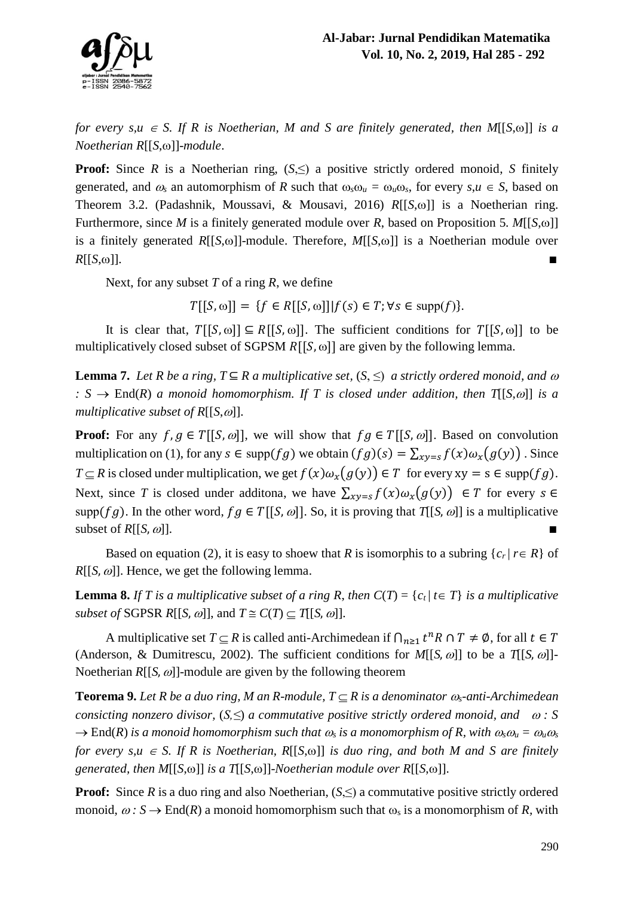

*for every s,u*  $\in$  *S.* If *R* is Noetherian, *M* and *S* are finitely generated, then *M*[[*S*, $\omega$ ]] *is a Noetherian R*[[*S*, $\omega$ ]]-*module*.

**Proof:** Since *R* is a Noetherian ring,  $(S, \leq)$  a positive strictly ordered monoid, *S* finitely generated, and  $\omega_s$  an automorphism of *R* such that  $\omega_s \omega_u = \omega_u \omega_s$ , for every  $s, u \in S$ , based on Theorem 3.2. (Padashnik, Moussavi, & Mousavi, 2016) *R*[[*S*,  $\omega$ ] is a Noetherian ring. Furthermore, since *M* is a finitely generated module over *R*, based on Proposition 5. *M*[[*S*, $\omega$ ]] is a finitely generated  $R[[S,\omega]]$ -module. Therefore,  $M[[S,\omega]]$  is a Noetherian module over  $R[[S,\omega]]$ .

Next, for any subset *T* of a ring *R*, we define

 $T[[S,\omega]] = \{f \in R[[S,\omega]]| f(s) \in T; \forall s \in \text{supp}(f)\}.$ 

It is clear that,  $T[[S, \omega]] \subseteq R[[S, \omega]]$ . The sufficient conditions for  $T[[S, \omega]]$  to be multiplicatively closed subset of SGPSM  $R[[S, \omega]]$  are given by the following lemma.

**Lemma 7.** *Let R be a ring,*  $T \subseteq R$  *a multiplicative set,*  $(S, \leq)$  *a strictly ordered monoid, and*  $\omega$ *:*  $S \rightarrow$  End(*R*) *a* monoid homomorphism. If *T* is closed under addition, then *T*[[*S,*  $\omega$ ]] *is a multiplicative subset of R[[S,* $\omega$ *].* 

**Proof:** For any  $f, g \in T[[S, \omega]]$ , we will show that  $fg \in T[[S, \omega]]$ . Based on convolution multiplication on (1), for any  $s \in \text{supp}(fg)$  we obtain  $(fg)(s) = \sum_{x \nu = s} f(x) \omega_x(g(y))$ . Since *T*  $\subseteq$  *R* is closed under multiplication, we get  $f(x)\omega_x(g(y)) \in T$  for every xy = s  $\in$  supp(*fg*). Next, since *T* is closed under additona, we have  $\sum_{xy=s} f(x)\omega_x(g(y)) \in T$  for every  $s \in$ supp(fg). In the other word,  $fg \in T[[S, \omega]]$ . So, it is proving that  $T[[S, \omega]]$  is a multiplicative subset of  $R[[S,\omega]].$ 

Based on equation (2), it is easy to shoew that *R* is isomorphis to a subring  ${c_r | r \in R}$  of  $R[[S,\omega]]$ . Hence, we get the following lemma.

**Lemma 8.** If *T* is a multiplicative subset of a ring R, then  $C(T) = \{c_t | t \in T\}$  is a multiplicative *subset of* SGPSR  $R[[S, \omega]],$  and  $T \cong C(T) \subset T[[S, \omega]].$ 

A multiplicative set  $T \subseteq R$  is called anti-Archimedean if  $\bigcap_{n \geq 1} t^n R \cap T \neq \emptyset$ , for all  $t \in T$ (Anderson, & Dumitrescu, 2002). The sufficient conditions for  $M[[S,\omega]]$  to be a  $T[[S,\omega]]$ -Noetherian  $R[[S,\omega]]$ -module are given by the following theorem

**Teorema 9.** Let R be a duo ring, M an R-module,  $T \subset R$  is a denominator  $\omega_s$ -anti-Archimedean *consicting nonzero divisor,*  $(S, \leq)$  *a commutative positive strictly ordered monoid, and*   $\omega$ : S  $\rightarrow$  End(*R*) *is a monoid homomorphism such that*  $\omega_s$  *is a monomorphism of R, with*  $\omega_s \omega_u = \omega_u \omega_s$ *for every s,u*  $\in$  *S.* If *R is Noetherian,*  $R[[S, \omega]]$  *is duo ring, and both M and S are finitely generated, then*  $M[[S, \omega]]$  *is a*  $T[[S, \omega]]$ -*Noetherian module over*  $R[[S, \omega]]$ .

**Proof:** Since  $R$  is a duo ring and also Noetherian,  $(S, \leq)$  a commutative positive strictly ordered monoid,  $\omega$ :  $S \rightarrow End(R)$  a monoid homomorphism such that  $\omega_s$  is a monomorphism of R, with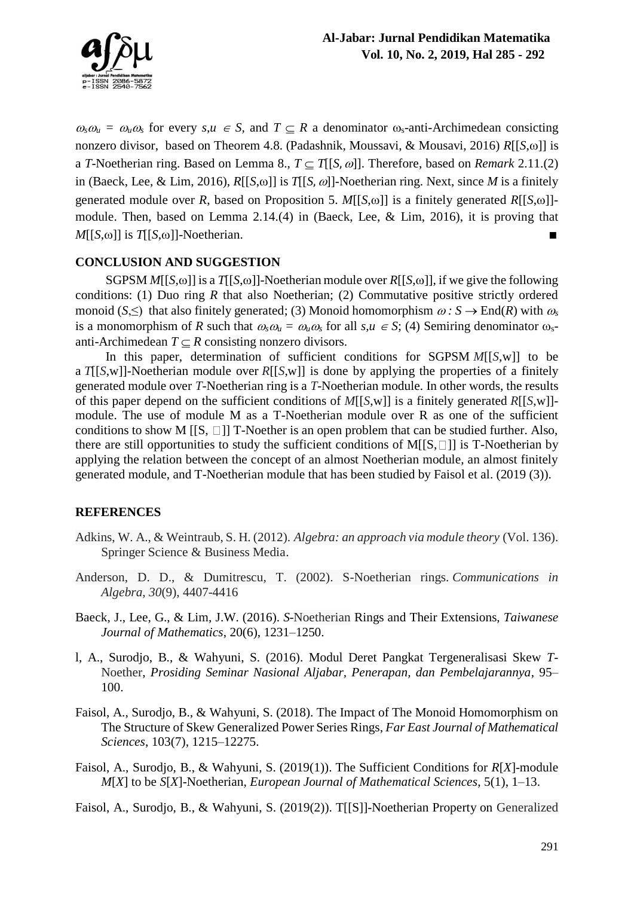

 $\omega_s \omega_u = \omega_u \omega_s$  for every  $s, u \in S$ , and  $T \subseteq R$  a denominator  $\omega_s$ -anti-Archimedean consicting nonzero divisor, based on Theorem 4.8. (Padashnik, Moussavi, & Mousavi, 2016) *R*[[*S*,  $\omega$ ]] is a *T*-Noetherian ring. Based on Lemma 8.,  $T \subset T[[S,\omega]]$ . Therefore, based on *Remark* 2.11.(2) in (Baeck, Lee, & Lim, 2016),  $R[[S,\omega]]$  is  $T[[S,\omega]]$ -Noetherian ring. Next, since *M* is a finitely generated module over *R*, based on Proposition 5. *M*[[*S*, $\omega$ ]] is a finitely generated *R*[[*S*, $\omega$ ]]module. Then, based on Lemma 2.14.(4) in (Baeck, Lee, & Lim, 2016), it is proving that  $M[[S,\omega]]$  is *T*[[*S*, $\omega$ ]]-Noetherian.

# **CONCLUSION AND SUGGESTION**

SGPSM  $M[[S,\omega]]$  is a  $T[[S,\omega]]$ -Noetherian module over  $R[[S,\omega]]$ , if we give the following conditions: (1) Duo ring *R* that also Noetherian; (2) Commutative positive strictly ordered monoid (*S*,  $\leq$ ) that also finitely generated; (3) Monoid homomorphism  $\omega : S \to \text{End}(R)$  with  $\omega_s$ is a monomorphism of *R* such that  $\omega_s \omega_u = \omega_u \omega_s$  for all  $s, u \in S$ ; (4) Semiring denominator  $\omega_s$ anti-Archimedean  $T \subset R$  consisting nonzero divisors.

In this paper, determination of sufficient conditions for SGPSM *M*[[*S*,w]] to be a *T*[[*S*,w]]-Noetherian module over *R*[[*S*,w]] is done by applying the properties of a finitely generated module over *T*-Noetherian ring is a *T*-Noetherian module. In other words, the results of this paper depend on the sufficient conditions of *M*[[*S*,w]] is a finitely generated *R*[[*S*,w]] module. The use of module M as a T-Noetherian module over R as one of the sufficient conditions to show M  $[[S, \Box]]$  T-Noether is an open problem that can be studied further. Also, there are still opportunities to study the sufficient conditions of M[ $[S, \Box]$ ] is T-Noetherian by applying the relation between the concept of an almost Noetherian module, an almost finitely generated module, and T-Noetherian module that has been studied by Faisol et al. (2019 (3)).

## **REFERENCES**

- Adkins, W. A., & Weintraub, S. H. (2012). *Algebra: an approach via module theory* (Vol. 136). Springer Science & Business Media.
- Anderson, D. D., & Dumitrescu, T. (2002). S-Noetherian rings. *Communications in Algebra*, *30*(9), 4407-4416
- Baeck, J., Lee, G., & Lim, J.W. (2016). *S*-Noetherian Rings and Their Extensions, *Taiwanese Journal of Mathematics*, 20(6), 1231–1250.
- l, A., Surodjo, B., & Wahyuni, S. (2016). Modul Deret Pangkat Tergeneralisasi Skew *T*-Noether, *Prosiding Seminar Nasional Aljabar, Penerapan, dan Pembelajarannya*, 95– 100.
- Faisol, A., Surodjo, B., & Wahyuni, S. (2018). The Impact of The Monoid Homomorphism on The Structure of Skew Generalized Power Series Rings, *Far East Journal of Mathematical Sciences*, 103(7), 1215–12275.
- Faisol, A., Surodjo, B., & Wahyuni, S. (2019(1)). The Sufficient Conditions for *R*[*X*]-module *M*[*X*] to be *S*[*X*]-Noetherian, *European Journal of Mathematical Sciences*, 5(1), 1–13.
- Faisol, A., Surodjo, B., & Wahyuni, S. (2019(2)). T[[S]]-Noetherian Property on Generalized